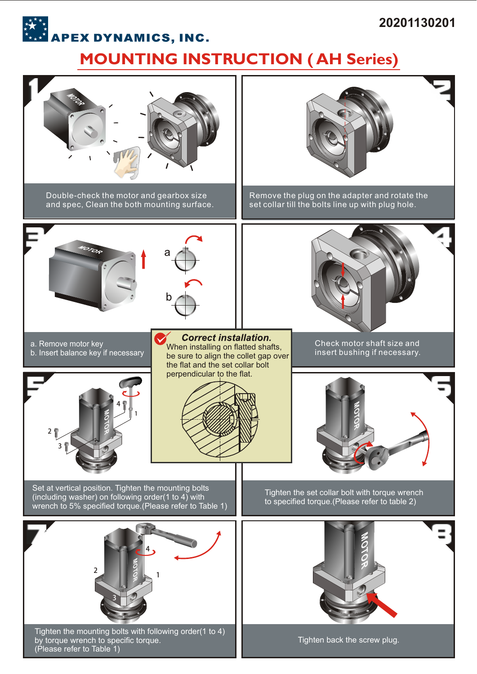## **20201130201**

## **MOUNTING INSTRUCTION (AH Series)**<br>MOUNTING INSTRUCTION (AH Series)